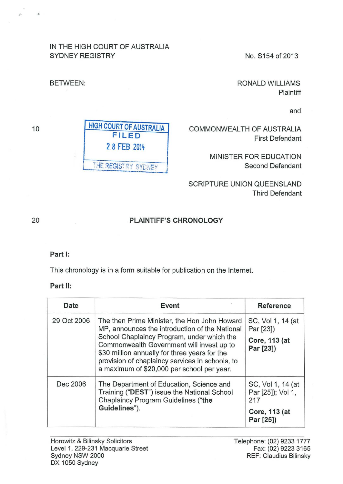### IN THE HIGH COURT OF AUSTRALIA SYDNEY REGISTRY No. S154 of 2013

RONALD WILLIAMS Plaintiff

and

COMMONWEALTH OF AUSTRALIA First Defendant

> MINISTER FOR EDUCATION Second Defendant

SCRIPTURE UNION QUEENSLAND Third Defendant

# PLAINTIFF'S CHRONOLOGY

#### Part 1:

This chronology is in a form suitable for publication on the Internet.

#### Part II:

| Date        | Event                                                                                                                                                                                                                                                                                                                                       | <b>Reference</b>                                                            |
|-------------|---------------------------------------------------------------------------------------------------------------------------------------------------------------------------------------------------------------------------------------------------------------------------------------------------------------------------------------------|-----------------------------------------------------------------------------|
| 29 Oct 2006 | The then Prime Minister, the Hon John Howard<br>MP, announces the introduction of the National<br>School Chaplaincy Program, under which the<br>Commonwealth Government will invest up to<br>\$30 million annually for three years for the<br>provision of chaplaincy services in schools, to<br>a maximum of \$20,000 per school per year. | SC, Vol 1, 14 (at<br>Par [23])<br>Core, 113 (at<br>Par [23])                |
| Dec 2006    | The Department of Education, Science and<br>Training ("DEST") issue the National School<br>Chaplaincy Program Guidelines ("the<br>Guidelines").                                                                                                                                                                                             | SC, Vol 1, 14 (at<br>Par [25]); Vol 1,<br>217<br>Core, 113 (at<br>Par [25]) |

20

# BETWEEN:

10

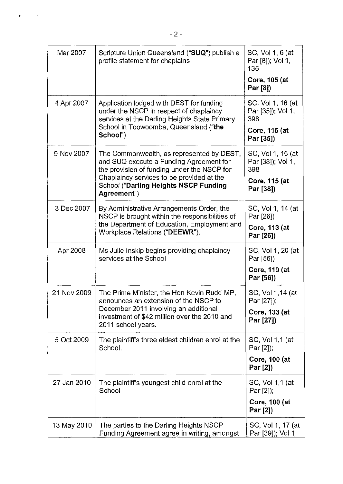| Mar 2007    | Scripture Union Queensland ("SUQ") publish a<br>profile statement for chaplains                                                                                                  | SC, Vol 1, 6 (at<br>Par [8]); Vol 1,<br>135<br>Core, 105 (at<br>Par [8]) |
|-------------|----------------------------------------------------------------------------------------------------------------------------------------------------------------------------------|--------------------------------------------------------------------------|
| 4 Apr 2007  | Application lodged with DEST for funding<br>under the NSCP in respect of chaplaincy<br>services at the Darling Heights State Primary<br>School in Toowoomba, Queensland ("the    | SC, Vol 1, 16 (at<br>Par [35]); Vol 1,<br>398<br>Core, 115 (at           |
|             | School")                                                                                                                                                                         | Par [35])                                                                |
| 9 Nov 2007  | The Commonwealth, as represented by DEST,<br>and SUQ execute a Funding Agreement for<br>the provision of funding under the NSCP for<br>Chaplaincy services to be provided at the | SC, Vol 1, 16 (at<br>Par [38]), Vol 1,<br>398<br>Core, 115 (at           |
|             | <b>School ("Darling Heights NSCP Funding</b><br>Agreement")                                                                                                                      | Par [38])                                                                |
| 3 Dec 2007  | By Administrative Arrangements Order, the<br>NSCP is brought within the responsibilities of                                                                                      | SC, Vol 1, 14 (at<br>Par [26])                                           |
|             | the Department of Education, Employment and<br>Workplace Relations ("DEEWR").                                                                                                    | Core, 113 (at<br>Par [26])                                               |
| Apr 2008    | Ms Julie Inskip begins providing chaplaincy<br>services at the School                                                                                                            | SC, Vol 1, 20 (at<br>Par [56])                                           |
|             |                                                                                                                                                                                  | Core, 119 (at<br>Par [56])                                               |
| 21 Nov 2009 | The Prime Minister, the Hon Kevin Rudd MP,<br>announces an extension of the NSCP to                                                                                              | SC, Vol 1,14 (at<br>Par [27]);                                           |
|             | December 2011 involving an additional<br>investment of \$42 million over the 2010 and<br>2011 school years.                                                                      | Core, 133 (at<br>Par [27])                                               |
| 5 Oct 2009  | The plaintiff's three eldest children enrol at the<br>School.                                                                                                                    | SC, Vol 1,1 (at<br>Par [2]);                                             |
|             |                                                                                                                                                                                  | <b>Core, 100 (at</b><br>Par [2])                                         |
| 27 Jan 2010 | The plaintiff's youngest child enrol at the<br>School                                                                                                                            | SC, Vol 1,1 (at<br>Par [2]);                                             |
|             |                                                                                                                                                                                  | <b>Core, 100 (at</b><br>Par [2])                                         |
| 13 May 2010 | The parties to the Darling Heights NSCP<br>Funding Agreement agree in writing, amongst                                                                                           | SC, Vol 1, 17 (at<br>Par [39]); Vol 1,                                   |

 $\mathbf{r}^{(i)}$  and  $\mathbf{r}^{(i)}$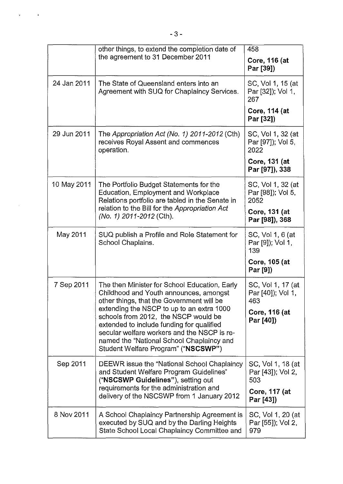|             | other things, to extend the completion date of<br>the agreement to 31 December 2011                                                                                                                                                                               | 458<br>Core, 116 (at<br>Par [39])                              |
|-------------|-------------------------------------------------------------------------------------------------------------------------------------------------------------------------------------------------------------------------------------------------------------------|----------------------------------------------------------------|
| 24 Jan 2011 | The State of Queensland enters into an<br>Agreement with SUQ for Chaplaincy Services.                                                                                                                                                                             | SC, Vol 1, 15 (at<br>Par [32]); Vol 1,<br>267                  |
|             |                                                                                                                                                                                                                                                                   | Core, 114 (at<br>Par [32])                                     |
| 29 Jun 2011 | The Appropriation Act (No. 1) 2011-2012 (Cth)<br>receives Royal Assent and commences<br>operation.                                                                                                                                                                | SC, Vol 1, 32 (at<br>Par [97]); Vol 5,<br>2022                 |
|             |                                                                                                                                                                                                                                                                   | Core, 131 (at<br>Par [97]), 338                                |
| 10 May 2011 | The Portfolio Budget Statements for the<br>Education, Employment and Workplace<br>Relations portfolio are tabled in the Senate in                                                                                                                                 | SC, Vol 1, 32 (at<br>Par [98]); Vol 5,<br>2052                 |
|             | relation to the Bill for the Appropriation Act<br>(No. 1) 2011-2012 (Cth).                                                                                                                                                                                        | Core, 131 (at<br>Par [98]), 368                                |
| May 2011    | SUQ publish a Profile and Role Statement for<br>School Chaplains.                                                                                                                                                                                                 | SC, Vol 1, 6 (at<br>Par [9]); Vol 1,<br>139                    |
|             |                                                                                                                                                                                                                                                                   | Core, 105 (at<br>Par [9])                                      |
| 7 Sep 2011  | The then Minister for School Education, Early<br>Childhood and Youth announces, amongst<br>other things, that the Government will be                                                                                                                              | SC, Vol 1, 17 (at<br>Par [40]); Vol 1,<br>463                  |
|             | extending the NSCP to up to an extra 1000<br>schools from 2012, the NSCP would be<br>extended to include funding for qualified<br>secular welfare workers and the NSCP is re-<br>named the "National School Chaplaincy and<br>Student Welfare Program" ("NSCSWP") | Core, 116 (at<br>Par [40])                                     |
| Sep 2011    | DEEWR issue the "National School Chaplaincy<br>and Student Welfare Program Guidelines"<br>("NSCSWP Guidelines"), setting out<br>requirements for the administration and                                                                                           | SC, Vol 1, 18 (at<br>Par [43]); Vol 2,<br>503<br>Core, 117 (at |
|             | delivery of the NSCSWP from 1 January 2012                                                                                                                                                                                                                        | Par [43])                                                      |
| 8 Nov 2011  | A School Chaplaincy Partnership Agreement is<br>executed by SUQ and by the Darling Heights<br>State School Local Chaplaincy Committee and                                                                                                                         | SC, Vol 1, 20 (at<br>Par [55]); Vol 2,<br>979                  |

ŗ

 $\sim$ 

 $\ddot{\phantom{0}}$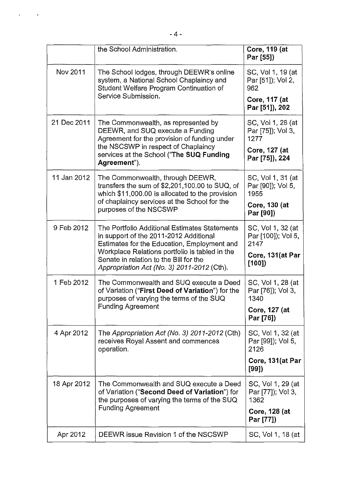|                 | the School Administration.                                                                                                               | Core, 119 (at<br>Par [55])                      |
|-----------------|------------------------------------------------------------------------------------------------------------------------------------------|-------------------------------------------------|
| <b>Nov 2011</b> | The School lodges, through DEEWR's online<br>system, a National School Chaplaincy and<br>Student Welfare Program Continuation of         | SC, Vol 1, 19 (at<br>Par [51]); Vol 2,<br>962   |
|                 | Service Submission.                                                                                                                      | Core, 117 (at<br>Par [51]), 202                 |
| 21 Dec 2011     | The Commonwealth, as represented by<br>DEEWR, and SUQ execute a Funding<br>Agreement for the provision of funding under                  | SC, Vol 1, 28 (at<br>Par [75]); Vol 3,<br>1277  |
|                 | the NSCSWP in respect of Chaplaincy<br>services at the School ("The SUQ Funding<br>Agreement").                                          | Core, 127 (at<br>Par [75]), 224                 |
| 11 Jan 2012     | The Commonwealth, through DEEWR,<br>transfers the sum of \$2,201,100.00 to SUQ, of<br>which \$11,000.00 is allocated to the provision    | SC, Vol 1, 31 (at<br>Par [90]); Vol 5,<br>1955  |
|                 | of chaplaincy services at the School for the<br>purposes of the NSCSWP                                                                   | <b>Core, 130 (at</b><br>Par [90])               |
| 9 Feb 2012      | The Portfolio Additional Estimates Statements<br>in support of the 2011-2012 Additional<br>Estimates for the Education, Employment and   | SC, Vol 1, 32 (at<br>Par [100]); Vol 5,<br>2147 |
|                 | Workplace Relations portfolio is tabled in the<br>Senate in relation to the Bill for the<br>Appropriation Act (No. 3) 2011-2012 (Cth).   | Core, 131(at Par<br>[100]                       |
| 1 Feb 2012      | The Commonwealth and SUQ execute a Deed<br>of Variation ("First Deed of Variation") for the<br>purposes of varying the terms of the SUQ  | SC, Vol 1, 28 (at<br>Par [76]); Vol 3,<br>1340  |
|                 | <b>Funding Agreement</b>                                                                                                                 | Core, 127 (at<br>Par [76])                      |
| 4 Apr 2012      | The Appropriation Act (No. 3) $2011 - 2012$ (Cth)<br>receives Royal Assent and commences<br>operation.                                   | SC, Vol 1, 32 (at<br>Par [99]); Vol 5,<br>2126  |
|                 |                                                                                                                                          | Core, 131 (at Par<br>[99])                      |
| 18 Apr 2012     | The Commonwealth and SUQ execute a Deed<br>of Variation ("Second Deed of Variation") for<br>the purposes of varying the terms of the SUQ | SC, Vol 1, 29 (at<br>Par [77]); Vol 3,<br>1362  |
|                 | <b>Funding Agreement</b>                                                                                                                 | Core, 128 (at<br>Par [77])                      |
| Apr 2012        | DEEWR issue Revision 1 of the NSCSWP                                                                                                     | SC, Vol 1, 18 (at                               |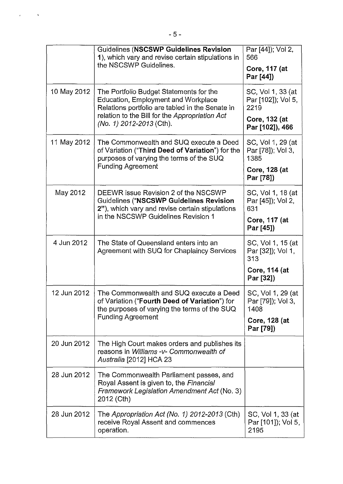|             | Guidelines (NSCSWP Guidelines Revision<br>1), which vary and revise certain stipulations in<br>the NSCSWP Guidelines.                           | Par [44]); Vol 2,<br>566<br>Core, 117 (at<br>Par [44]) |
|-------------|-------------------------------------------------------------------------------------------------------------------------------------------------|--------------------------------------------------------|
| 10 May 2012 | The Portfolio Budget Statements for the<br>Education, Employment and Workplace<br>Relations portfolio are tabled in the Senate in               | SC, Vol 1, 33 (at<br>Par [102]); Vol 5,<br>2219        |
|             | relation to the Bill for the Appropriation Act<br>(No. 1) 2012-2013 (Cth).                                                                      | Core, 132 (at<br>Par [102]), 466                       |
| 11 May 2012 | The Commonwealth and SUQ execute a Deed<br>of Variation ("Third Deed of Variation") for the<br>purposes of varying the terms of the SUQ         | SC, Vol 1, 29 (at<br>Par [78]); Vol 3,<br>1385         |
|             | <b>Funding Agreement</b>                                                                                                                        | Core, 128 (at<br>Par [78])                             |
| May 2012    | DEEWR issue Revision 2 of the NSCSWP<br><b>Guidelines ("NSCSWP Guidelines Revision</b><br>2"), which vary and revise certain stipulations       | SC, Vol 1, 18 (at<br>Par [45]); Vol 2,<br>631          |
|             | in the NSCSWP Guidelines Revision 1                                                                                                             | Core, 117 (at<br>Par [45])                             |
| 4 Jun 2012  | The State of Queensland enters into an<br>Agreement with SUQ for Chaplaincy Services                                                            | SC, Vol 1, 15 (at<br>Par [32]); Vol 1,<br>313          |
|             |                                                                                                                                                 | Core, 114 (at<br>Par [32])                             |
| 12 Jun 2012 | The Commonwealth and SUQ execute a Deed<br>of Variation ("Fourth Deed of Variation") for<br>the purposes of varying the terms of the SUQ        | SC, Vol 1, 29 (at<br>Par [79]); Vol 3,<br>1408         |
|             | <b>Funding Agreement</b>                                                                                                                        | Core, 128 (at<br>Par [79])                             |
| 20 Jun 2012 | The High Court makes orders and publishes its<br>reasons in Williams -v- Commonwealth of<br>Australia [2012] HCA 23                             |                                                        |
| 28 Jun 2012 | The Commonwealth Parliament passes, and<br>Royal Assent is given to, the Financial<br>Framework Legislation Amendment Act (No. 3)<br>2012 (Cth) |                                                        |
| 28 Jun 2012 | The Appropriation Act (No. 1) 2012-2013 (Cth)<br>receive Royal Assent and commences<br>operation.                                               | SC, Vol 1, 33 (at<br>Par [101]); Vol 5,<br>2195        |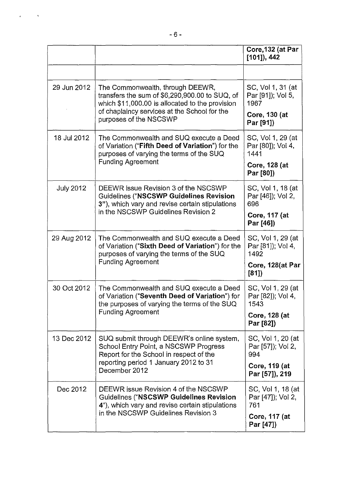|                  |                                                                                                                                                                                                                 | Core, 132 (at Par<br>$[101]$ , 442                                               |
|------------------|-----------------------------------------------------------------------------------------------------------------------------------------------------------------------------------------------------------------|----------------------------------------------------------------------------------|
|                  |                                                                                                                                                                                                                 |                                                                                  |
| 29 Jun 2012      | The Commonwealth, through DEEWR,<br>transfers the sum of \$6,290,900.00 to SUQ, of<br>which \$11,000.00 is allocated to the provision<br>of chaplaincy services at the School for the<br>purposes of the NSCSWP | SC, Vol 1, 31 (at<br>Par [91]); Vol 5,<br>1967<br>Core, 130 (at<br>Par [91])     |
| 18 Jul 2012      | The Commonwealth and SUQ execute a Deed<br>of Variation ("Fifth Deed of Variation") for the<br>purposes of varying the terms of the SUQ<br><b>Funding Agreement</b>                                             | SC, Vol 1, 29 (at<br>Par [80]); Vol 4,<br>1441<br>Core, 128 (at<br>Par [80])     |
| <b>July 2012</b> | DEEWR issue Revision 3 of the NSCSWP<br>Guidelines ("NSCSWP Guidelines Revision<br>3"), which vary and revise certain stipulations<br>in the NSCSWP Guidelines Revision 2                                       | SC, Vol 1, 18 (at<br>Par [46]); Vol 2,<br>696<br>Core, 117 (at<br>Par [46])      |
| 29 Aug 2012      | The Commonwealth and SUQ execute a Deed<br>of Variation ("Sixth Deed of Variation") for the<br>purposes of varying the terms of the SUQ<br><b>Funding Agreement</b>                                             | SC, Vol 1, 29 (at<br>Par [81]); Vol 4,<br>1492<br>Core, 128(at Par<br>[81]       |
| 30 Oct 2012      | The Commonwealth and SUQ execute a Deed<br>of Variation ("Seventh Deed of Variation") for<br>the purposes of varying the terms of the SUQ<br><b>Funding Agreement</b>                                           | SC, Vol 1, 29 (at<br>Par [82]); Vol 4,<br>1543<br>Core, 128 (at<br>Par [82])     |
| 13 Dec 2012      | SUQ submit through DEEWR's online system,<br>School Entry Point, a NSCSWP Progress<br>Report for the School in respect of the<br>reporting period 1 January 2012 to 31<br>December 2012                         | SC, Vol 1, 20 (at<br>Par [57]); Vol 2,<br>994<br>Core, 119 (at<br>Par [57]), 219 |
| Dec 2012         | DEEWR issue Revision 4 of the NSCSWP<br><b>Guidelines ("NSCSWP Guidelines Revision</b><br>4"), which vary and revise certain stipulations<br>in the NSCSWP Guidelines Revision 3                                | SC, Vol 1, 18 (at<br>Par [47]); Vol 2,<br>761<br>Core, 117 (at<br>Par [47])      |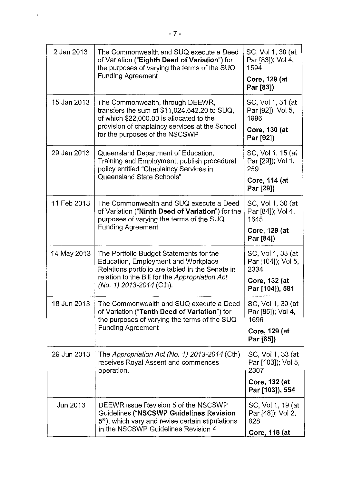|             | -7-                                                                                                                                                                       |                                                                 |
|-------------|---------------------------------------------------------------------------------------------------------------------------------------------------------------------------|-----------------------------------------------------------------|
| 2 Jan 2013  | The Commonwealth and SUQ execute a Deed<br>of Variation ("Eighth Deed of Variation") for<br>the purposes of varying the terms of the SUQ<br><b>Funding Agreement</b>      | SC, Vol 1, 30 (at<br>Par [83]); Vol 4,<br>1594<br>Core, 129 (at |
|             |                                                                                                                                                                           | Par [83])                                                       |
| 15 Jan 2013 | The Commonwealth, through DEEWR,<br>transfers the sum of $$11,024,642.20$ to SUQ,<br>of which \$22,000.00 is allocated to the                                             | SC, Vol 1, 31 (at<br>Par [92]); Vol 5,<br>1996                  |
|             | provision of chaplaincy services at the School<br>for the purposes of the NSCSWP                                                                                          | Core, 130 (at<br>Par [92])                                      |
| 29 Jan 2013 | Queensland Department of Education,<br>Training and Employment, publish procedural<br>policy entitled "Chaplaincy Services in                                             | SC, Vol 1, 15 (at<br>Par [29]); Vol 1,<br>259                   |
|             | Queensland State Schools"                                                                                                                                                 | Core, 114 (at<br>Par [29])                                      |
| 11 Feb 2013 | The Commonwealth and SUQ execute a Deed<br>of Variation ("Ninth Deed of Variation") for the<br>purposes of varying the terms of the SUQ                                   | SC, Vol 1, 30 (at<br>Par [84]); Vol 4,<br>1645                  |
|             | <b>Funding Agreement</b>                                                                                                                                                  | <b>Core, 129 (at</b><br>Par [84])                               |
| 14 May 2013 | The Portfolio Budget Statements for the<br>Education, Employment and Workplace<br>Relations portfolio are tabled in the Senate in                                         | SC, Vol 1, 33 (at<br>Par [104]); Vol 5,<br>2334                 |
|             | relation to the Bill for the Appropriation Act<br>(No. 1) 2013-2014 (Cth).                                                                                                | Core, 132 (at<br>Par [104]), 581                                |
| 18 Jun 2013 | The Commonwealth and SUQ execute a Deed<br>of Variation ("Tenth Deed of Variation") for<br>the purposes of varying the terms of the SUQ<br><b>Funding Agreement</b>       | SC, Vol 1, 30 (at<br>Par [85]); Vol 4,<br>1696                  |
|             |                                                                                                                                                                           | Core, 129 (at<br>Par [85])                                      |
| 29 Jun 2013 | The Appropriation Act (No. 1) 2013-2014 (Cth)<br>receives Royal Assent and commences<br>operation.                                                                        | SC, Vol 1, 33 (at<br>Par [103]); Vol 5,<br>2307                 |
|             |                                                                                                                                                                           | Core, 132 (at<br>Par [103]), 554                                |
| Jun 2013    | DEEWR issue Revision 5 of the NSCSWP<br>Guidelines ("NSCSWP Guidelines Revision<br>5"), which vary and revise certain stipulations<br>in the NSCSWP Guidelines Revision 4 | SC, Vol 1, 19 (at<br>Par [48]), Vol 2,<br>828                   |
|             |                                                                                                                                                                           | Core, 118 (at                                                   |

 $\sim$   $\sim$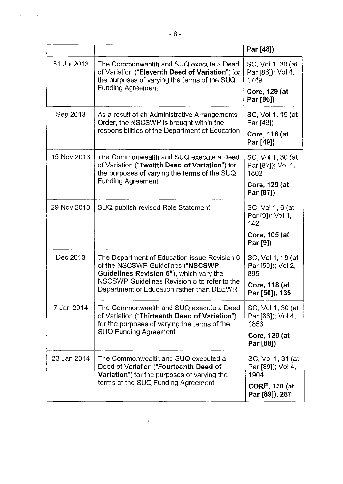|             |                                                                                                                                                                                                                           | Par [48])                                      |
|-------------|---------------------------------------------------------------------------------------------------------------------------------------------------------------------------------------------------------------------------|------------------------------------------------|
| 31 Jul 2013 | The Commonwealth and SUQ execute a Deed<br>of Variation ("Eleventh Deed of Variation") for<br>the purposes of varying the terms of the SUQ<br><b>Funding Agreement</b>                                                    | SC, Vol 1, 30 (at<br>Par [86]); Vol 4,<br>1749 |
|             |                                                                                                                                                                                                                           | Core, 129 (at<br>Par [86])                     |
| Sep 2013    | As a result of an Administrative Arrangements<br>Order, the NSCSWP is brought within the<br>responsibilities of the Department of Education                                                                               | SC, Vol 1, 19 (at<br>Par [49])                 |
|             |                                                                                                                                                                                                                           | Core, 118 (at<br>Par [49])                     |
| 15 Nov 2013 | The Commonwealth and SUQ execute a Deed<br>of Variation ("Twelfth Deed of Variation") for<br>the purposes of varying the terms of the SUQ<br><b>Funding Agreement</b>                                                     | SC, Vol 1, 30 (at<br>Par [87]); Vol 4,<br>1802 |
|             |                                                                                                                                                                                                                           | Core, 129 (at<br>Par [87])                     |
| 29 Nov 2013 | SUQ publish revised Role Statement                                                                                                                                                                                        | SC, Vol 1, 6 (at<br>Par [9]); Vol 1,<br>142    |
|             |                                                                                                                                                                                                                           | Core, 105 (at<br>Par [9])                      |
| Dec 2013    | The Department of Education issue Revision 6<br>of the NSCSWP Guidelines ("NSCSWP<br>Guidelines Revision 6"), which vary the<br>NSCSWP Guidelines Revision 5 to refer to the<br>Department of Education rather than DEEWR | SC, Vol 1, 19 (at<br>Par [50]); Vol 2,<br>895  |
|             |                                                                                                                                                                                                                           | Core, 118 (at<br>Par [50]), 135                |
| 7 Jan 2014  | The Commonwealth and SUQ execute a Deed<br>of Variation ("Thirteenth Deed of Variation")<br>for the purposes of varying the terms of the<br><b>SUQ Funding Agreement</b>                                                  | SC, Vol 1, 30 (at<br>Par [88]); Vol 4,<br>1853 |
|             |                                                                                                                                                                                                                           | Core, 129 (at<br>Par [88])                     |
| 23 Jan 2014 | The Commonwealth and SUQ executed a<br>Deed of Variation ("Fourteenth Deed of<br><b>Variation</b> ") for the purposes of varying the<br>terms of the SUQ Funding Agreement                                                | SC, Vol 1, 31 (at<br>Par [89]); Vol 4,<br>1904 |
|             |                                                                                                                                                                                                                           | <b>CORE, 130 (at</b><br>Par [89]), 287         |